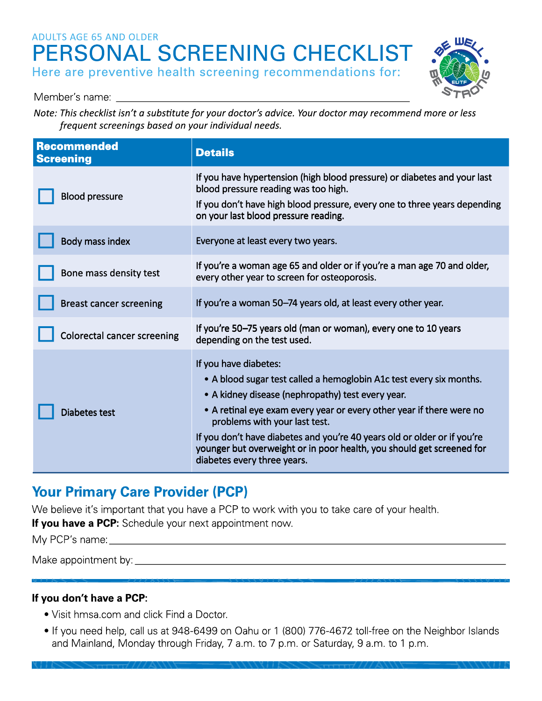# ADULTS AGE 65 AND OLDER **PERSONAL SCREENING CHECKLIST**  Here are preventive health screening recommendations for:



Member's name: \_\_\_\_\_\_\_\_\_\_\_\_\_\_\_\_\_\_\_\_\_\_\_ \_

Note: This checklist isn't a substitute for your doctor's advice. Your doctor may recommend more or less frequent screenings based on your individual needs.

| <b>Recommended</b><br><b>Screening</b> | <b>Details</b>                                                                                                                                                                                                                                                                                                                                                                                                                                 |
|----------------------------------------|------------------------------------------------------------------------------------------------------------------------------------------------------------------------------------------------------------------------------------------------------------------------------------------------------------------------------------------------------------------------------------------------------------------------------------------------|
| <b>Blood pressure</b>                  | If you have hypertension (high blood pressure) or diabetes and your last<br>blood pressure reading was too high.<br>If you don't have high blood pressure, every one to three years depending<br>on your last blood pressure reading.                                                                                                                                                                                                          |
| Body mass index                        | Everyone at least every two years.                                                                                                                                                                                                                                                                                                                                                                                                             |
| Bone mass density test                 | If you're a woman age 65 and older or if you're a man age 70 and older,<br>every other year to screen for osteoporosis.                                                                                                                                                                                                                                                                                                                        |
| <b>Breast cancer screening</b>         | If you're a woman 50–74 years old, at least every other year.                                                                                                                                                                                                                                                                                                                                                                                  |
| <b>Colorectal cancer screening</b>     | If you're 50-75 years old (man or woman), every one to 10 years<br>depending on the test used.                                                                                                                                                                                                                                                                                                                                                 |
| <b>Diabetes test</b>                   | If you have diabetes:<br>• A blood sugar test called a hemoglobin A1c test every six months.<br>• A kidney disease (nephropathy) test every year.<br>• A retinal eye exam every year or every other year if there were no<br>problems with your last test.<br>If you don't have diabetes and you're 40 years old or older or if you're<br>younger but overweight or in poor health, you should get screened for<br>diabetes every three years. |

# **Your Primary Care Provider (PCP)**

We believe it's important that you have a PCP to work with you to take care of your health.

**If you have a PCP:** Schedule your next appointment now.

My PCP's name: \_\_\_\_\_\_\_\_\_\_\_\_\_\_\_\_\_\_\_\_\_\_\_\_\_\_\_\_\_ \_

Make appointment by: \_\_\_\_\_\_\_\_\_\_\_\_\_\_\_\_\_\_\_\_\_\_\_\_\_\_\_\_ \_

## **If you don't have a PCP:**

• Visit hmsa.com and click Find a Doctor.

111222<del>211111</del>///AWJ

• If you need help, call us at 948-6499 on Oahu or 1 (800) 776-4672 toll-free on the Neighbor Islands and Mainland, Monday through Friday, 7 a.m. to 7 p.m. or Saturday, 9 a.m. to 1 p.m.